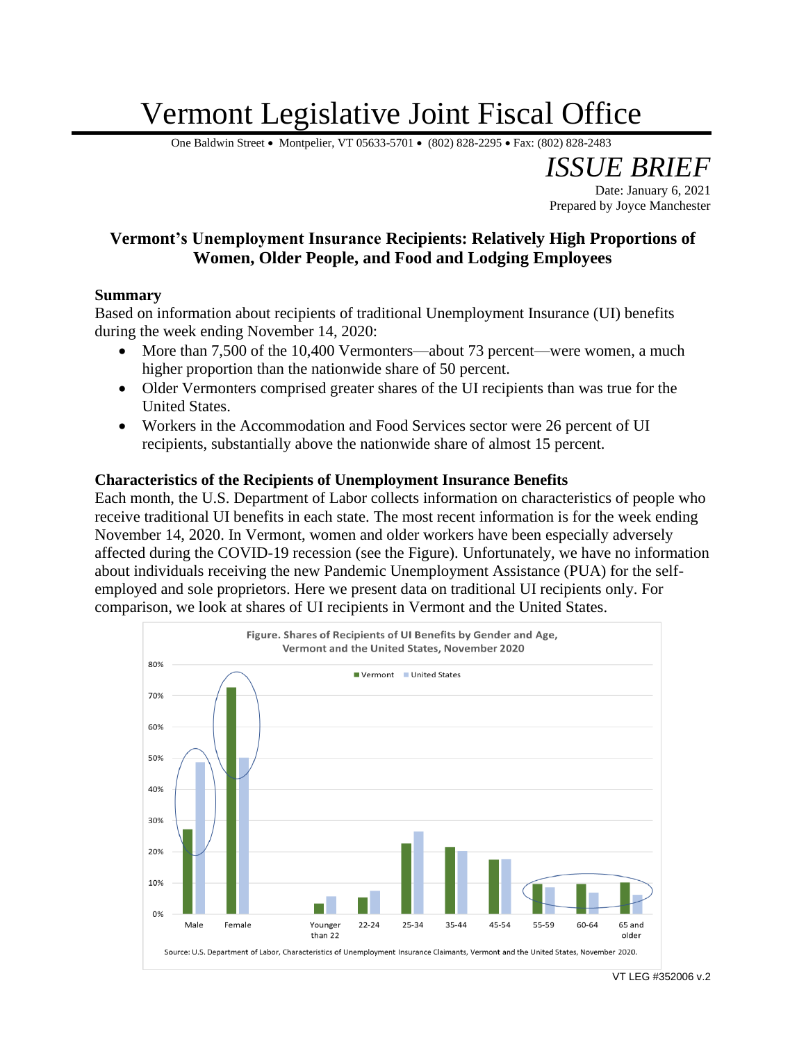## Vermont Legislative Joint Fiscal Office

One Baldwin Street • Montpelier, VT 05633-5701 • (802) 828-2295 • Fax: (802) 828-2483

## **Vermont's Unemployment Insurance Recipients: Relatively High Proportions of Women, Older People, and Food and Lodging Employees**

## **Summary**

Based on information about recipients of traditional Unemployment Insurance (UI) benefits during the week ending November 14, 2020:

- More than 7,500 of the 10,400 Vermonters—about 73 percent—were women, a much higher proportion than the nationwide share of 50 percent.
- Older Vermonters comprised greater shares of the UI recipients than was true for the United States.
- Workers in the Accommodation and Food Services sector were 26 percent of UI recipients, substantially above the nationwide share of almost 15 percent.

## **Characteristics of the Recipients of Unemployment Insurance Benefits**

Each month, the U.S. Department of Labor collects information on characteristics of people who receive traditional UI benefits in each state. The most recent information is for the week ending November 14, 2020. In Vermont, women and older workers have been especially adversely affected during the COVID-19 recession (see the Figure). Unfortunately, we have no information about individuals receiving the new Pandemic Unemployment Assistance (PUA) for the selfemployed and sole proprietors. Here we present data on traditional UI recipients only. For comparison, we look at shares of UI recipients in Vermont and the United States.



*ISSUE BRIEF*

Prepared by Joyce Manchester

Date: January 6, 2021